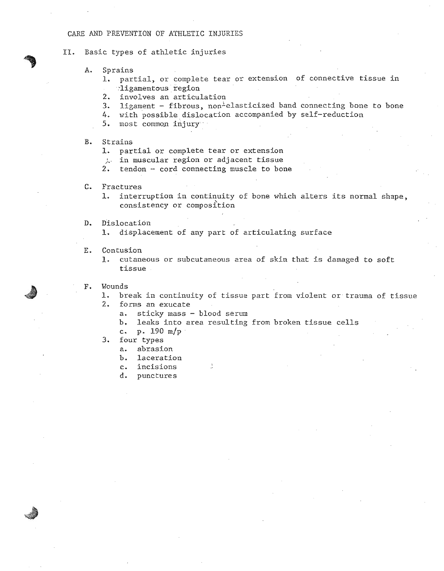# CARE AND PREVENTION OF KfHLETIC INJURIES

II. Basic types of athletic injuries

- A. Sprains
	- 1. partial, or complete tear or extension of connective tissue in .ligamentous region
	- 2. involves an articulation
	- $3.$  ligament fibrous, non-elasticized band connecting bone to bone
	- 4. with possible dislocation accompanied by self-reduction
	- 5. most common injury

# B. Strains

- 1. partial or complete tear or extension
- $\therefore$  in muscular region or adjacent tissue
- 2. tendon cord connecting muscle to bone
- C. Fractures
	- 1. interruption in continuity of bone which alters its normal shape, consistency or composition

### D. Dislocation

1. displacement of any part of articulating surface

÷

E. Contusion

1. cutaneous or subcutaneous area of skin that is damaged to soft tissue

- F. Hounds
	- 1. break in continuity of tissue part from violent or trauma of tissue
	- .2. forms an exucate
		- a. sticky mass blood serum
		- b. leaks into area resulting from broken tissue cells
		- c. p. 190 m/p
	- 3. four types
		- a. abrasion
		- b. laceration
		- c. incisions
		- d. punctures